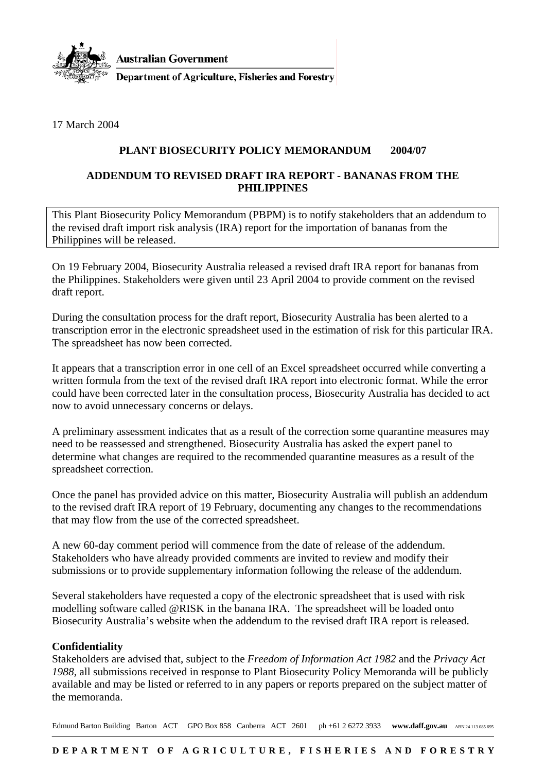

**Australian Government** 

**Department of Agriculture, Fisheries and Forestry** 

17 March 2004

## **PLANT BIOSECURITY POLICY MEMORANDUM 2004/07**

## **ADDENDUM TO REVISED DRAFT IRA REPORT - BANANAS FROM THE PHILIPPINES**

This Plant Biosecurity Policy Memorandum (PBPM) is to notify stakeholders that an addendum to the revised draft import risk analysis (IRA) report for the importation of bananas from the Philippines will be released.

On 19 February 2004, Biosecurity Australia released a revised draft IRA report for bananas from the Philippines. Stakeholders were given until 23 April 2004 to provide comment on the revised draft report.

During the consultation process for the draft report, Biosecurity Australia has been alerted to a transcription error in the electronic spreadsheet used in the estimation of risk for this particular IRA. The spreadsheet has now been corrected.

It appears that a transcription error in one cell of an Excel spreadsheet occurred while converting a written formula from the text of the revised draft IRA report into electronic format. While the error could have been corrected later in the consultation process, Biosecurity Australia has decided to act now to avoid unnecessary concerns or delays.

A preliminary assessment indicates that as a result of the correction some quarantine measures may need to be reassessed and strengthened. Biosecurity Australia has asked the expert panel to determine what changes are required to the recommended quarantine measures as a result of the spreadsheet correction.

Once the panel has provided advice on this matter, Biosecurity Australia will publish an addendum to the revised draft IRA report of 19 February, documenting any changes to the recommendations that may flow from the use of the corrected spreadsheet.

A new 60-day comment period will commence from the date of release of the addendum. Stakeholders who have already provided comments are invited to review and modify their submissions or to provide supplementary information following the release of the addendum.

Several stakeholders have requested a copy of the electronic spreadsheet that is used with risk modelling software called @RISK in the banana IRA. The spreadsheet will be loaded onto Biosecurity Australia's website when the addendum to the revised draft IRA report is released.

## **Confidentiality**

Stakeholders are advised that, subject to the *Freedom of Information Act 1982* and the *Privacy Act 1988*, all submissions received in response to Plant Biosecurity Policy Memoranda will be publicly available and may be listed or referred to in any papers or reports prepared on the subject matter of the memoranda.

Edmund Barton Building Barton ACT GPO Box 858 Canberra ACT 2601 ph +61 2 6272 3933 www.daff.gov.au ABN 24 113 085 695